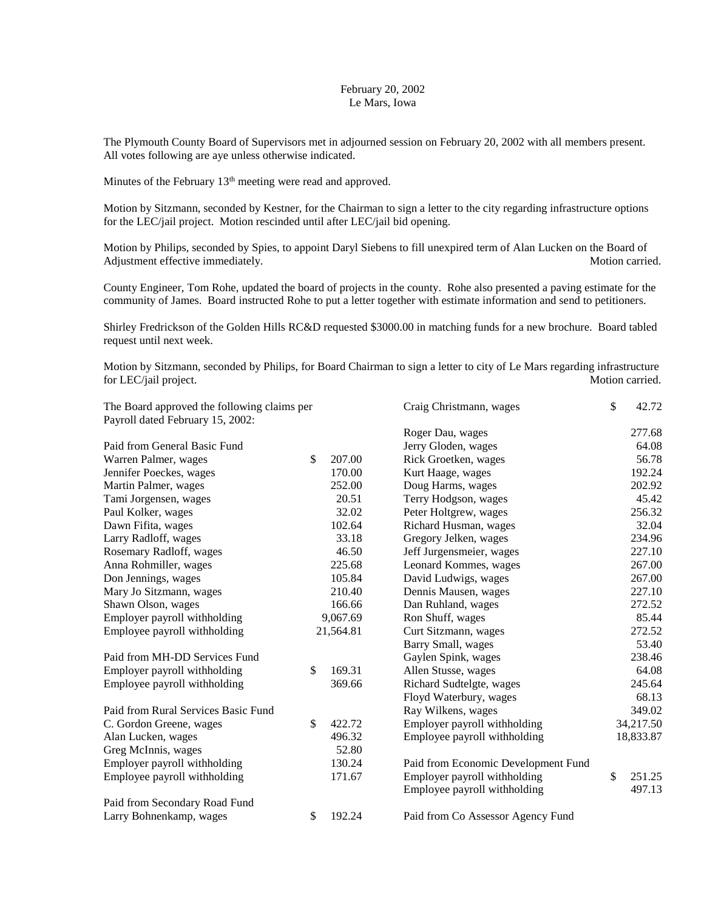## February 20, 2002 Le Mars, Iowa

The Plymouth County Board of Supervisors met in adjourned session on February 20, 2002 with all members present. All votes following are aye unless otherwise indicated.

Minutes of the February 13<sup>th</sup> meeting were read and approved.

Motion by Sitzmann, seconded by Kestner, for the Chairman to sign a letter to the city regarding infrastructure options for the LEC/jail project. Motion rescinded until after LEC/jail bid opening.

Motion by Philips, seconded by Spies, to appoint Daryl Siebens to fill unexpired term of Alan Lucken on the Board of Adjustment effective immediately. All the states of the states of the Motion carried.

County Engineer, Tom Rohe, updated the board of projects in the county. Rohe also presented a paving estimate for the community of James. Board instructed Rohe to put a letter together with estimate information and send to petitioners.

Shirley Fredrickson of the Golden Hills RC&D requested \$3000.00 in matching funds for a new brochure. Board tabled request until next week.

Motion by Sitzmann, seconded by Philips, for Board Chairman to sign a letter to city of Le Mars regarding infrastructure for LEC/jail project. Motion carried.

| The Board approved the following claims per |    |           | Craig Christmann, wages             | \$<br>42.72  |
|---------------------------------------------|----|-----------|-------------------------------------|--------------|
| Payroll dated February 15, 2002:            |    |           |                                     |              |
|                                             |    |           | Roger Dau, wages                    | 277.68       |
| Paid from General Basic Fund                |    |           | Jerry Gloden, wages                 | 64.08        |
| Warren Palmer, wages                        | \$ | 207.00    | Rick Groetken, wages                | 56.78        |
| Jennifer Poeckes, wages                     |    | 170.00    | Kurt Haage, wages                   | 192.24       |
| Martin Palmer, wages                        |    | 252.00    | Doug Harms, wages                   | 202.92       |
| Tami Jorgensen, wages                       |    | 20.51     | Terry Hodgson, wages                | 45.42        |
| Paul Kolker, wages                          |    | 32.02     | Peter Holtgrew, wages               | 256.32       |
| Dawn Fifita, wages                          |    | 102.64    | Richard Husman, wages               | 32.04        |
| Larry Radloff, wages                        |    | 33.18     | Gregory Jelken, wages               | 234.96       |
| Rosemary Radloff, wages                     |    | 46.50     | Jeff Jurgensmeier, wages            | 227.10       |
| Anna Rohmiller, wages                       |    | 225.68    | Leonard Kommes, wages               | 267.00       |
| Don Jennings, wages                         |    | 105.84    | David Ludwigs, wages                | 267.00       |
| Mary Jo Sitzmann, wages                     |    | 210.40    | Dennis Mausen, wages                | 227.10       |
| Shawn Olson, wages                          |    | 166.66    | Dan Ruhland, wages                  | 272.52       |
| Employer payroll withholding                |    | 9,067.69  | Ron Shuff, wages                    | 85.44        |
| Employee payroll withholding                |    | 21,564.81 | Curt Sitzmann, wages                | 272.52       |
|                                             |    |           | Barry Small, wages                  | 53.40        |
| Paid from MH-DD Services Fund               |    |           | Gaylen Spink, wages                 | 238.46       |
| Employer payroll withholding                | \$ | 169.31    | Allen Stusse, wages                 | 64.08        |
| Employee payroll withholding                |    | 369.66    | Richard Sudtelgte, wages            | 245.64       |
|                                             |    |           | Floyd Waterbury, wages              | 68.13        |
| Paid from Rural Services Basic Fund         |    |           | Ray Wilkens, wages                  | 349.02       |
| C. Gordon Greene, wages                     | \$ | 422.72    | Employer payroll withholding        | 34,217.50    |
| Alan Lucken, wages                          |    | 496.32    | Employee payroll withholding        | 18,833.87    |
| Greg McInnis, wages                         |    | 52.80     |                                     |              |
| Employer payroll withholding                |    | 130.24    | Paid from Economic Development Fund |              |
| Employee payroll withholding                |    | 171.67    | Employer payroll withholding        | \$<br>251.25 |
|                                             |    |           | Employee payroll withholding        | 497.13       |
| Paid from Secondary Road Fund               |    |           |                                     |              |
| Larry Bohnenkamp, wages                     | \$ | 192.24    | Paid from Co Assessor Agency Fund   |              |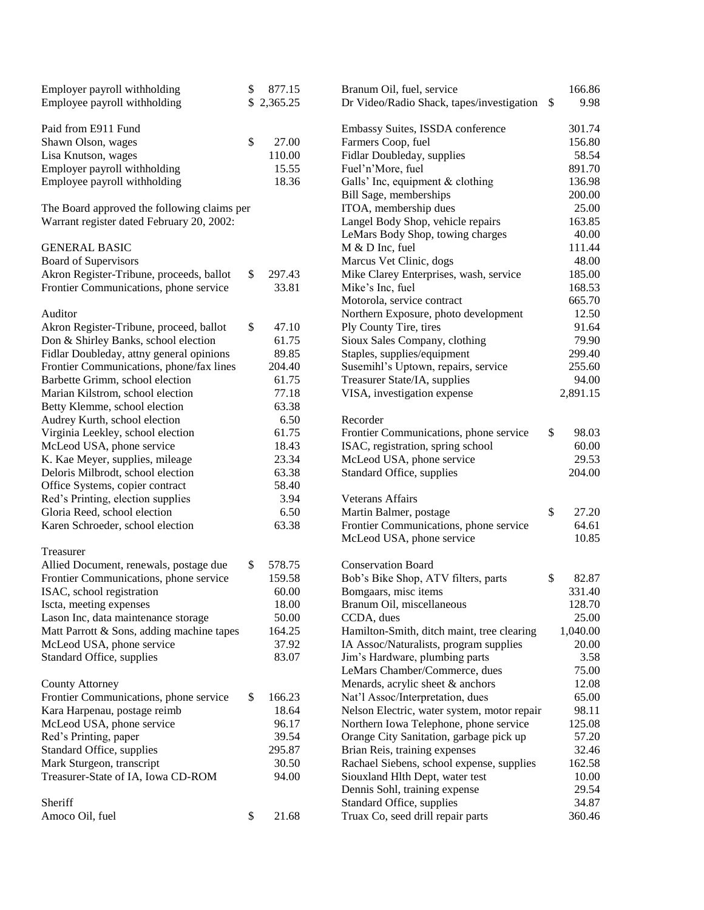| Employer payroll withholding<br>Employee payroll withholding | \$<br>877.15<br>\$2,365.25 | Bra<br>Dr       |
|--------------------------------------------------------------|----------------------------|-----------------|
| Paid from E911 Fund                                          |                            | Em              |
| Shawn Olson, wages                                           | \$<br>27.00                | Far             |
| Lisa Knutson, wages                                          | 110.00                     | Fid             |
| Employer payroll withholding                                 | 15.55                      | Fu              |
| Employee payroll withholding                                 | 18.36                      | Ga              |
|                                                              |                            | Bil             |
| The Board approved the following claims per                  |                            | IT <sub>0</sub> |
| Warrant register dated February 20, 2002:                    |                            | Lai             |
|                                                              |                            | Lel             |
| <b>GENERAL BASIC</b>                                         |                            | M               |
| <b>Board of Supervisors</b>                                  |                            | Ma              |
| Akron Register-Tribune, proceeds, ballot                     | \$<br>297.43               | Mi              |
| Frontier Communications, phone service                       | 33.81                      | Mi              |
|                                                              |                            | Mo              |
| Auditor                                                      |                            | No              |
| Akron Register-Tribune, proceed, ballot                      | \$<br>47.10                | Ply             |
| Don & Shirley Banks, school election                         | 61.75                      | Sic             |
| Fidlar Doubleday, attny general opinions                     | 89.85                      | Sta             |
| Frontier Communications, phone/fax lines                     | 204.40                     | <b>Sus</b>      |
| Barbette Grimm, school election                              | 61.75                      | Tre             |
| Marian Kilstrom, school election                             | 77.18                      | VI:             |
| Betty Klemme, school election                                | 63.38                      |                 |
| Audrey Kurth, school election                                | 6.50                       | Re              |
| Virginia Leekley, school election                            | 61.75                      | Fro             |
| McLeod USA, phone service                                    | 18.43                      | IS/             |
| K. Kae Meyer, supplies, mileage                              | 23.34                      | Mc              |
| Deloris Milbrodt, school election                            | 63.38                      | Sta             |
| Office Systems, copier contract                              | 58.40                      |                 |
| Red's Printing, election supplies                            | 3.94                       | Ve              |
| Gloria Reed, school election                                 | 6.50                       | Ma              |
| Karen Schroeder, school election                             | 63.38                      | Fro             |
|                                                              |                            | Mc              |
| Treasurer                                                    |                            |                 |
| Allied Document, renewals, postage due                       | \$<br>578.75               | Co              |
| Frontier Communications, phone service                       | 159.58                     | Bo              |
| ISAC, school registration                                    | 60.00                      | Bo              |
| Iscta, meeting expenses                                      | 18.00                      | Bra             |
| Lason Inc, data maintenance storage                          | 50.00                      | <b>CC</b>       |
| Matt Parrott & Sons, adding machine tapes                    | 164.25                     | Ha              |
| McLeod USA, phone service                                    | 37.92                      | <b>IA</b>       |
| Standard Office, supplies                                    | 83.07                      | Jin             |
|                                                              |                            | Lel             |
| County Attorney                                              |                            | Me              |
| Frontier Communications, phone service                       | \$<br>166.23               | Na              |
| Kara Harpenau, postage reimb                                 | 18.64                      | Ne.             |
| McLeod USA, phone service                                    | 96.17                      | No              |
| Red's Printing, paper                                        | 39.54                      | Ora             |
| Standard Office, supplies                                    | 295.87                     | Bri             |
| Mark Sturgeon, transcript                                    | 30.50                      | Ra              |
| Treasurer-State of IA, Iowa CD-ROM                           | 94.00                      | Sic             |
|                                                              |                            | De              |
| Sheriff                                                      |                            | Sta             |
| Amoco Oil, fuel                                              | \$<br>21.68                | Tru             |

| Branum Oil, fuel, service                                      | 166.86      |
|----------------------------------------------------------------|-------------|
| Dr Video/Radio Shack, tapes/investigation                      | \$<br>9.98  |
|                                                                |             |
| Embassy Suites, ISSDA conference                               | 301.74      |
| Farmers Coop, fuel                                             | 156.80      |
|                                                                |             |
| Fidlar Doubleday, supplies                                     | 58.54       |
| Fuel'n'More, fuel                                              | 891.70      |
| Galls' Inc, equipment & clothing                               | 136.98      |
| Bill Sage, memberships                                         | 200.00      |
| ITOA, membership dues                                          | 25.00       |
| Langel Body Shop, vehicle repairs                              | 163.85      |
| LeMars Body Shop, towing charges                               | 40.00       |
| M & D Inc, fuel                                                | 111.44      |
| Marcus Vet Clinic, dogs                                        | 48.00       |
| Mike Clarey Enterprises, wash, service                         | 185.00      |
| Mike's Inc, fuel                                               | 168.53      |
|                                                                |             |
| Motorola, service contract                                     | 665.70      |
| Northern Exposure, photo development                           | 12.50       |
| Ply County Tire, tires                                         | 91.64       |
| Sioux Sales Company, clothing                                  | 79.90       |
| Staples, supplies/equipment                                    | 299.40      |
| Susemihl's Uptown, repairs, service                            | 255.60      |
| Treasurer State/IA, supplies                                   | 94.00       |
| VISA, investigation expense                                    | 2,891.15    |
|                                                                |             |
| Recorder                                                       |             |
|                                                                |             |
| Frontier Communications, phone service                         | \$<br>98.03 |
| ISAC, registration, spring school                              | 60.00       |
| McLeod USA, phone service                                      | 29.53       |
| Standard Office, supplies                                      | 204.00      |
|                                                                |             |
| <b>Veterans Affairs</b>                                        |             |
| Martin Balmer, postage                                         | \$<br>27.20 |
| Frontier Communications, phone service                         | 64.61       |
| McLeod USA, phone service                                      | 10.85       |
|                                                                |             |
| <b>Conservation Board</b>                                      |             |
| Bob's Bike Shop, ATV filters, parts                            | \$<br>82.87 |
|                                                                | 331.40      |
| Bomgaars, misc items                                           |             |
| Branum Oil, miscellaneous                                      | 128.70      |
| CCDA, dues                                                     | 25.00       |
| Hamilton-Smith, ditch maint, tree clearing                     | 1,040.00    |
| IA Assoc/Naturalists, program supplies                         | 20.00       |
| Jim's Hardware, plumbing parts                                 | 3.58        |
| LeMars Chamber/Commerce, dues                                  | 75.00       |
| Menards, acrylic sheet & anchors                               | 12.08       |
| Nat'l Assoc/Interpretation, dues                               | 65.00       |
| Nelson Electric, water system, motor repair                    | 98.11       |
|                                                                |             |
| Northern Iowa Telephone, phone service                         | 125.08      |
| Orange City Sanitation, garbage pick up                        | 57.20       |
| Brian Reis, training expenses                                  | 32.46       |
| Rachael Siebens, school expense, supplies                      | 162.58      |
| Siouxland Hlth Dept, water test                                | 10.00       |
| Dennis Sohl, training expense                                  |             |
|                                                                | 29.54       |
|                                                                | 34.87       |
| Standard Office, supplies<br>Truax Co, seed drill repair parts | 360.46      |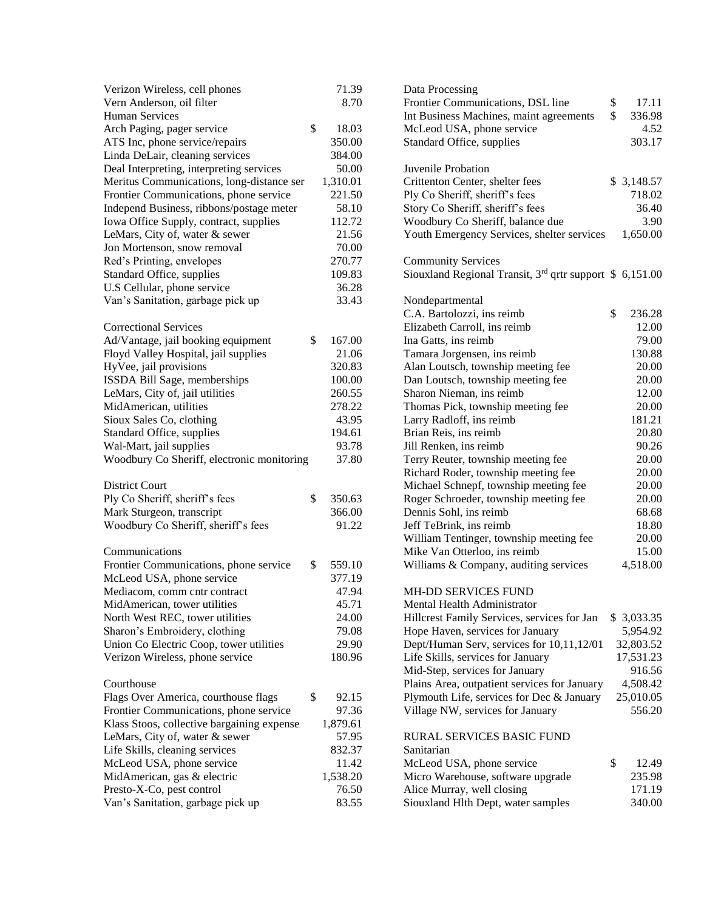| Verizon Wireless, cell phones<br>Vern Anderson, oil filter | 71.39<br>8.70 |
|------------------------------------------------------------|---------------|
| <b>Human Services</b>                                      |               |
| Arch Paging, pager service                                 | \$<br>18.03   |
| ATS Inc, phone service/repairs                             | 350.00        |
| Linda DeLair, cleaning services                            | 384.00        |
| Deal Interpreting, interpreting services                   | 50.00         |
| Meritus Communications, long-distance ser                  | 1,310.01      |
| Frontier Communications, phone service                     | 221.50        |
| Independ Business, ribbons/postage meter                   | 58.10         |
| Iowa Office Supply, contract, supplies                     | 112.72        |
| LeMars, City of, water & sewer                             | 21.56         |
| Jon Mortenson, snow removal                                | 70.00         |
| Red's Printing, envelopes                                  | 270.77        |
| Standard Office, supplies                                  | 109.83        |
| U.S Cellular, phone service                                | 36.28         |
| Van's Sanitation, garbage pick up                          | 33.43         |
| <b>Correctional Services</b>                               |               |
| Ad/Vantage, jail booking equipment                         | \$<br>167.00  |
| Floyd Valley Hospital, jail supplies                       | 21.06         |
| HyVee, jail provisions                                     | 320.83        |
| ISSDA Bill Sage, memberships                               | 100.00        |
| LeMars, City of, jail utilities                            | 260.55        |
| MidAmerican, utilities                                     | 278.22        |
| Sioux Sales Co, clothing                                   | 43.95         |
| Standard Office, supplies                                  | 194.61        |
| Wal-Mart, jail supplies                                    | 93.78         |
| Woodbury Co Sheriff, electronic monitoring                 | 37.80         |
| <b>District Court</b>                                      |               |
| Ply Co Sheriff, sheriff's fees                             | \$<br>350.63  |
| Mark Sturgeon, transcript                                  | 366.00        |
| Woodbury Co Sheriff, sheriff's fees                        | 91.22         |
| Communications                                             |               |
| Frontier Communications, phone service                     | \$<br>559.10  |
| McLeod USA, phone service                                  | 377.19        |
| Mediacom, comm cntr contract                               | 47.94         |
| MidAmerican, tower utilities                               | 45.71         |
| North West REC, tower utilities                            | 24.00         |
| Sharon's Embroidery, clothing                              | 79.08         |
| Union Co Electric Coop, tower utilities                    | 29.90         |
| Verizon Wireless, phone service                            | 180.96        |
| Courthouse                                                 |               |
| Flags Over America, courthouse flags                       | \$<br>92.15   |
| Frontier Communications, phone service                     | 97.36         |
| Klass Stoos, collective bargaining expense                 | 1,879.61      |
| LeMars, City of, water & sewer                             | 57.95         |
| Life Skills, cleaning services                             | 832.37        |
| McLeod USA, phone service                                  | 11.42         |
| MidAmerican, gas & electric                                | 1,538.20      |
| Presto-X-Co, pest control                                  | 76.50         |
| Van's Sanitation, garbage pick up                          | 83.55         |

| Data Processing                                               |              |
|---------------------------------------------------------------|--------------|
| Frontier Communications, DSL line                             | \$<br>17.11  |
| Int Business Machines, maint agreements                       | \$<br>336.98 |
| McLeod USA, phone service                                     | 4.52         |
| Standard Office, supplies                                     | 303.17       |
|                                                               |              |
| Juvenile Probation                                            |              |
| Crittenton Center, shelter fees                               | \$3,148.57   |
| Ply Co Sheriff, sheriff's fees                                | 718.02       |
| Story Co Sheriff, sheriff's fees                              | 36.40        |
| Woodbury Co Sheriff, balance due                              | 3.90         |
| Youth Emergency Services, shelter services                    | 1,650.00     |
|                                                               |              |
| <b>Community Services</b>                                     |              |
| Siouxland Regional Transit, $3^{rd}$ qrtr support \$ 6,151.00 |              |
| Nondepartmental                                               |              |
| C.A. Bartolozzi, ins reimb                                    | \$<br>236.28 |
| Elizabeth Carroll, ins reimb                                  | 12.00        |
| Ina Gatts, ins reimb                                          | 79.00        |
| Tamara Jorgensen, ins reimb                                   | 130.88       |
|                                                               |              |
| Alan Loutsch, township meeting fee                            | 20.00        |
| Dan Loutsch, township meeting fee                             | 20.00        |
| Sharon Nieman, ins reimb                                      | 12.00        |
| Thomas Pick, township meeting fee                             | 20.00        |
| Larry Radloff, ins reimb                                      | 181.21       |
| Brian Reis, ins reimb                                         | 20.80        |
| Jill Renken, ins reimb                                        | 90.26        |
| Terry Reuter, township meeting fee                            | 20.00        |
| Richard Roder, township meeting fee                           | 20.00        |
| Michael Schnepf, township meeting fee                         | 20.00        |
| Roger Schroeder, township meeting fee                         | 20.00        |
| Dennis Sohl, ins reimb                                        | 68.68        |
| Jeff TeBrink, ins reimb                                       | 18.80        |
| William Tentinger, township meeting fee                       | 20.00        |
| Mike Van Otterloo, ins reimb                                  | 15.00        |
| Williams & Company, auditing services                         | 4,518.00     |
|                                                               |              |
| <b>MH-DD SERVICES FUND</b>                                    |              |
| Mental Health Administrator                                   |              |
| Hillcrest Family Services, services for Jan                   | \$ 3,033.35  |
| Hope Haven, services for January                              | 5,954.92     |
| Dept/Human Serv, services for 10,11,12/01                     | 32,803.52    |
| Life Skills, services for January                             | 17,531.23    |
| Mid-Step, services for January                                | 916.56       |
| Plains Area, outpatient services for January                  | 4,508.42     |
| Plymouth Life, services for Dec & January                     | 25,010.05    |
| Village NW, services for January                              | 556.20       |
|                                                               |              |
| RURAL SERVICES BASIC FUND                                     |              |
| Sanitarian                                                    |              |
| McLeod USA, phone service                                     | \$<br>12.49  |
| Micro Warehouse, software upgrade                             | 235.98       |
| Alice Murray, well closing                                    | 171.19       |
| Siouxland Hlth Dept, water samples                            | 340.00       |
|                                                               |              |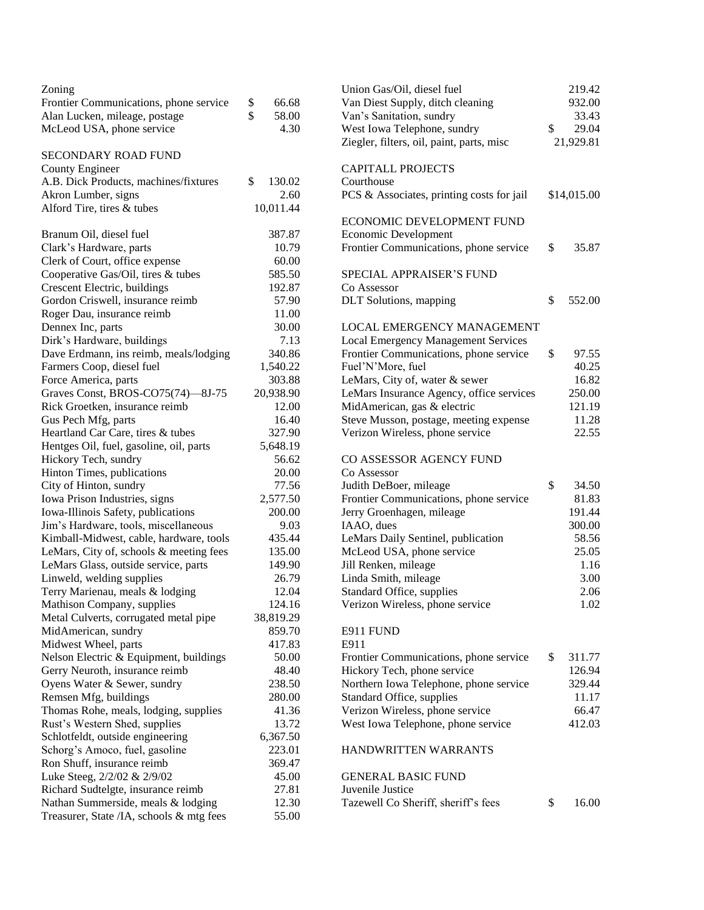| Zoning                                   |              | Union Gas/Oil, diesel fuel                 | 219.42       |
|------------------------------------------|--------------|--------------------------------------------|--------------|
| Frontier Communications, phone service   | \$<br>66.68  | Van Diest Supply, ditch cleaning           | 932.00       |
| Alan Lucken, mileage, postage            | \$<br>58.00  | Van's Sanitation, sundry                   | 33.43        |
| McLeod USA, phone service                | 4.30         | West Iowa Telephone, sundry                | \$<br>29.04  |
|                                          |              | Ziegler, filters, oil, paint, parts, misc  | 21,929.81    |
| <b>SECONDARY ROAD FUND</b>               |              |                                            |              |
| County Engineer                          |              | <b>CAPITALL PROJECTS</b>                   |              |
| A.B. Dick Products, machines/fixtures    | \$<br>130.02 | Courthouse                                 |              |
| Akron Lumber, signs                      | 2.60         | PCS & Associates, printing costs for jail  | \$14,015.00  |
| Alford Tire, tires & tubes               | 10,011.44    |                                            |              |
|                                          |              | ECONOMIC DEVELOPMENT FUND                  |              |
| Branum Oil, diesel fuel                  | 387.87       | Economic Development                       |              |
| Clark's Hardware, parts                  | 10.79        | Frontier Communications, phone service     | \$<br>35.87  |
| Clerk of Court, office expense           | 60.00        |                                            |              |
| Cooperative Gas/Oil, tires & tubes       | 585.50       | SPECIAL APPRAISER'S FUND                   |              |
| Crescent Electric, buildings             | 192.87       | Co Assessor                                |              |
| Gordon Criswell, insurance reimb         | 57.90        | DLT Solutions, mapping                     | \$<br>552.00 |
| Roger Dau, insurance reimb               | 11.00        |                                            |              |
| Dennex Inc, parts                        | 30.00        | <b>LOCAL EMERGENCY MANAGEMENT</b>          |              |
| Dirk's Hardware, buildings               | 7.13         | <b>Local Emergency Management Services</b> |              |
| Dave Erdmann, ins reimb, meals/lodging   | 340.86       | Frontier Communications, phone service     | \$<br>97.55  |
| Farmers Coop, diesel fuel                | 1,540.22     | Fuel'N'More, fuel                          | 40.25        |
| Force America, parts                     | 303.88       | LeMars, City of, water & sewer             | 16.82        |
| Graves Const, BROS-CO75(74)-8J-75        | 20,938.90    | LeMars Insurance Agency, office services   | 250.00       |
| Rick Groetken, insurance reimb           | 12.00        | MidAmerican, gas & electric                | 121.19       |
| Gus Pech Mfg, parts                      | 16.40        | Steve Musson, postage, meeting expense     | 11.28        |
| Heartland Car Care, tires & tubes        | 327.90       | Verizon Wireless, phone service            | 22.55        |
| Hentges Oil, fuel, gasoline, oil, parts  | 5,648.19     |                                            |              |
| Hickory Tech, sundry                     | 56.62        | CO ASSESSOR AGENCY FUND                    |              |
| Hinton Times, publications               | 20.00        | Co Assessor                                |              |
| City of Hinton, sundry                   | 77.56        | Judith DeBoer, mileage                     | \$<br>34.50  |
| Iowa Prison Industries, signs            | 2,577.50     | Frontier Communications, phone service     | 81.83        |
| Iowa-Illinois Safety, publications       | 200.00       | Jerry Groenhagen, mileage                  | 191.44       |
| Jim's Hardware, tools, miscellaneous     | 9.03         | IAAO, dues                                 | 300.00       |
| Kimball-Midwest, cable, hardware, tools  | 435.44       | LeMars Daily Sentinel, publication         | 58.56        |
| LeMars, City of, schools & meeting fees  | 135.00       | McLeod USA, phone service                  | 25.05        |
| LeMars Glass, outside service, parts     | 149.90       | Jill Renken, mileage                       | 1.16         |
| Linweld, welding supplies                | 26.79        | Linda Smith, mileage                       | 3.00         |
| Terry Marienau, meals & lodging          | 12.04        | Standard Office, supplies                  | 2.06         |
| Mathison Company, supplies               | 124.16       | Verizon Wireless, phone service            | 1.02         |
| Metal Culverts, corrugated metal pipe    | 38,819.29    |                                            |              |
| MidAmerican, sundry                      | 859.70       | E911 FUND                                  |              |
| Midwest Wheel, parts                     | 417.83       | E911                                       |              |
| Nelson Electric & Equipment, buildings   | 50.00        | Frontier Communications, phone service     | \$<br>311.77 |
| Gerry Neuroth, insurance reimb           | 48.40        | Hickory Tech, phone service                | 126.94       |
| Oyens Water & Sewer, sundry              | 238.50       | Northern Iowa Telephone, phone service     | 329.44       |
| Remsen Mfg, buildings                    | 280.00       | Standard Office, supplies                  | 11.17        |
| Thomas Rohe, meals, lodging, supplies    | 41.36        | Verizon Wireless, phone service            | 66.47        |
| Rust's Western Shed, supplies            | 13.72        | West Iowa Telephone, phone service         | 412.03       |
| Schlotfeldt, outside engineering         | 6,367.50     |                                            |              |
| Schorg's Amoco, fuel, gasoline           | 223.01       | HANDWRITTEN WARRANTS                       |              |
| Ron Shuff, insurance reimb               | 369.47       |                                            |              |
| Luke Steeg, 2/2/02 & 2/9/02              | 45.00        | <b>GENERAL BASIC FUND</b>                  |              |
| Richard Sudtelgte, insurance reimb       | 27.81        | Juvenile Justice                           |              |
| Nathan Summerside, meals & lodging       | 12.30        | Tazewell Co Sheriff, sheriff's fees        | \$<br>16.00  |
| Treasurer, State /IA, schools & mtg fees | 55.00        |                                            |              |
|                                          |              |                                            |              |